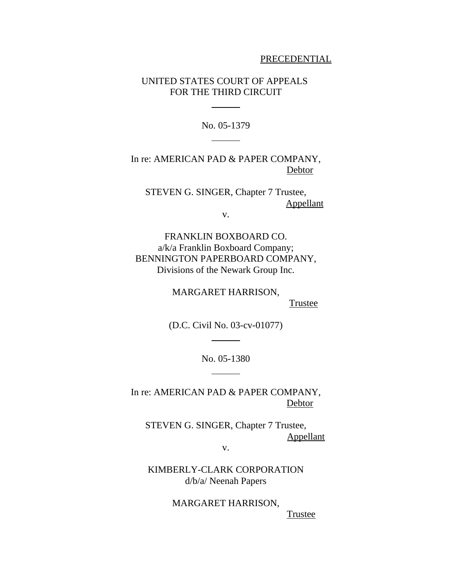#### PRECEDENTIAL

## UNITED STATES COURT OF APPEALS FOR THE THIRD CIRCUIT

l

 $\overline{\phantom{a}}$ 

No. 05-1379

In re: AMERICAN PAD & PAPER COMPANY, **Debtor** 

STEVEN G. SINGER, Chapter 7 Trustee, Appellant

v.

FRANKLIN BOXBOARD CO. a/k/a Franklin Boxboard Company; BENNINGTON PAPERBOARD COMPANY, Divisions of the Newark Group Inc.

MARGARET HARRISON,

**Trustee** 

(D.C. Civil No. 03-cv-01077)

 $\overline{\phantom{a}}$ 

l

No. 05-1380

In re: AMERICAN PAD & PAPER COMPANY, Debtor

STEVEN G. SINGER, Chapter 7 Trustee, Appellant

v.

KIMBERLY-CLARK CORPORATION d/b/a/ Neenah Papers

> MARGARET HARRISON, Trustee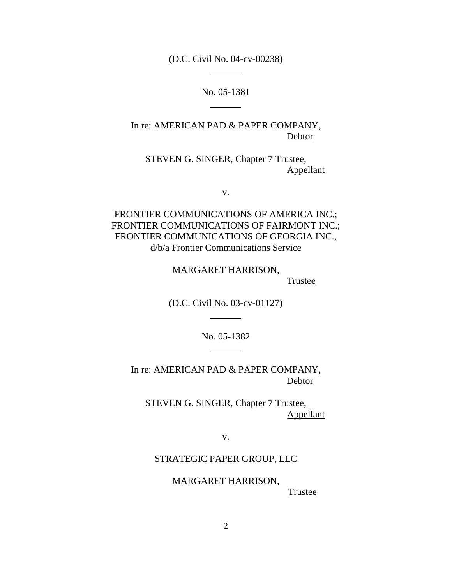(D.C. Civil No. 04-cv-00238)

 $\overline{a}$ 

 $\overline{a}$ 

No. 05-1381

In re: AMERICAN PAD & PAPER COMPANY, Debtor

STEVEN G. SINGER, Chapter 7 Trustee, Appellant

v.

FRONTIER COMMUNICATIONS OF AMERICA INC.; FRONTIER COMMUNICATIONS OF FAIRMONT INC.; FRONTIER COMMUNICATIONS OF GEORGIA INC., d/b/a Frontier Communications Service

> MARGARET HARRISON, **Trustee**

(D.C. Civil No. 03-cv-01127)

 $\overline{a}$ 

 $\overline{a}$ 

No. 05-1382

In re: AMERICAN PAD & PAPER COMPANY, Debtor

STEVEN G. SINGER, Chapter 7 Trustee, Appellant

v.

STRATEGIC PAPER GROUP, LLC

MARGARET HARRISON,

**Trustee**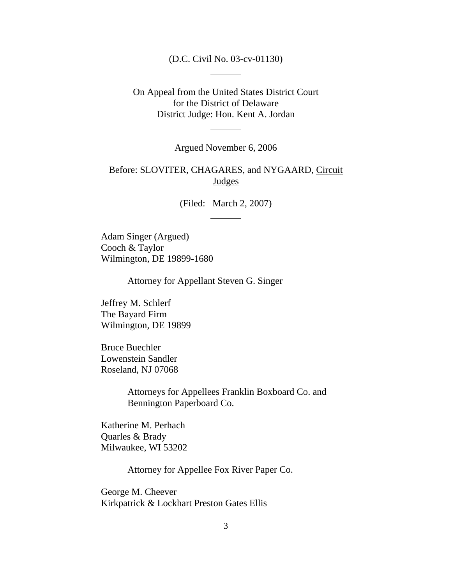(D.C. Civil No. 03-cv-01130)

 $\overline{a}$ 

 $\overline{a}$ 

On Appeal from the United States District Court for the District of Delaware District Judge: Hon. Kent A. Jordan

Argued November 6, 2006

# Before: SLOVITER, CHAGARES, and NYGAARD, Circuit **Judges**

(Filed: March 2, 2007)

 $\overline{a}$ 

Adam Singer (Argued) Cooch & Taylor Wilmington, DE 19899-1680

Attorney for Appellant Steven G. Singer

Jeffrey M. Schlerf The Bayard Firm Wilmington, DE 19899

Bruce Buechler Lowenstein Sandler Roseland, NJ 07068

> Attorneys for Appellees Franklin Boxboard Co. and Bennington Paperboard Co.

Katherine M. Perhach Quarles & Brady Milwaukee, WI 53202

Attorney for Appellee Fox River Paper Co.

George M. Cheever Kirkpatrick & Lockhart Preston Gates Ellis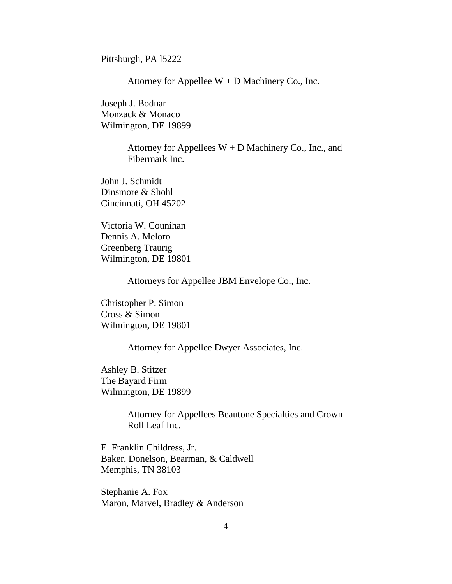Pittsburgh, PA l5222

Attorney for Appellee  $W + D$  Machinery Co., Inc.

Joseph J. Bodnar Monzack & Monaco Wilmington, DE 19899

> Attorney for Appellees  $W + D$  Machinery Co., Inc., and Fibermark Inc.

John J. Schmidt Dinsmore & Shohl Cincinnati, OH 45202

Victoria W. Counihan Dennis A. Meloro Greenberg Traurig Wilmington, DE 19801

Attorneys for Appellee JBM Envelope Co., Inc.

Christopher P. Simon Cross & Simon Wilmington, DE 19801

Attorney for Appellee Dwyer Associates, Inc.

Ashley B. Stitzer The Bayard Firm Wilmington, DE 19899

> Attorney for Appellees Beautone Specialties and Crown Roll Leaf Inc.

E. Franklin Childress, Jr. Baker, Donelson, Bearman, & Caldwell Memphis, TN 38103

Stephanie A. Fox Maron, Marvel, Bradley & Anderson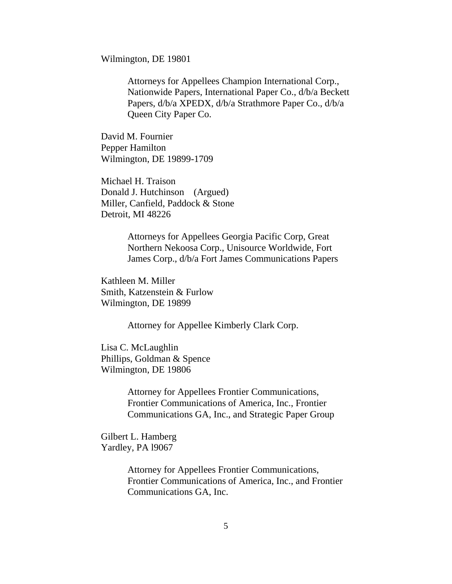Wilmington, DE 19801

Attorneys for Appellees Champion International Corp., Nationwide Papers, International Paper Co., d/b/a Beckett Papers, d/b/a XPEDX, d/b/a Strathmore Paper Co., d/b/a Queen City Paper Co.

David M. Fournier Pepper Hamilton Wilmington, DE 19899-1709

Michael H. Traison Donald J. Hutchinson (Argued) Miller, Canfield, Paddock & Stone Detroit, MI 48226

> Attorneys for Appellees Georgia Pacific Corp, Great Northern Nekoosa Corp., Unisource Worldwide, Fort James Corp., d/b/a Fort James Communications Papers

Kathleen M. Miller Smith, Katzenstein & Furlow Wilmington, DE 19899

Attorney for Appellee Kimberly Clark Corp.

Lisa C. McLaughlin Phillips, Goldman & Spence Wilmington, DE 19806

> Attorney for Appellees Frontier Communications, Frontier Communications of America, Inc., Frontier Communications GA, Inc., and Strategic Paper Group

Gilbert L. Hamberg Yardley, PA l9067

> Attorney for Appellees Frontier Communications, Frontier Communications of America, Inc., and Frontier Communications GA, Inc.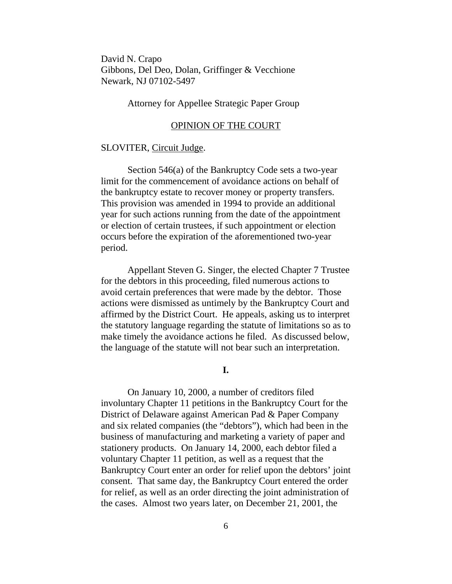David N. Crapo Gibbons, Del Deo, Dolan, Griffinger & Vecchione Newark, NJ 07102-5497

# Attorney for Appellee Strategic Paper Group

#### OPINION OF THE COURT

#### SLOVITER, Circuit Judge.

Section 546(a) of the Bankruptcy Code sets a two-year limit for the commencement of avoidance actions on behalf of the bankruptcy estate to recover money or property transfers. This provision was amended in 1994 to provide an additional year for such actions running from the date of the appointment or election of certain trustees, if such appointment or election occurs before the expiration of the aforementioned two-year period.

Appellant Steven G. Singer, the elected Chapter 7 Trustee for the debtors in this proceeding, filed numerous actions to avoid certain preferences that were made by the debtor. Those actions were dismissed as untimely by the Bankruptcy Court and affirmed by the District Court. He appeals, asking us to interpret the statutory language regarding the statute of limitations so as to make timely the avoidance actions he filed. As discussed below, the language of the statute will not bear such an interpretation.

## **I.**

On January 10, 2000, a number of creditors filed involuntary Chapter 11 petitions in the Bankruptcy Court for the District of Delaware against American Pad & Paper Company and six related companies (the "debtors"), which had been in the business of manufacturing and marketing a variety of paper and stationery products. On January 14, 2000, each debtor filed a voluntary Chapter 11 petition, as well as a request that the Bankruptcy Court enter an order for relief upon the debtors' joint consent. That same day, the Bankruptcy Court entered the order for relief, as well as an order directing the joint administration of the cases. Almost two years later, on December 21, 2001, the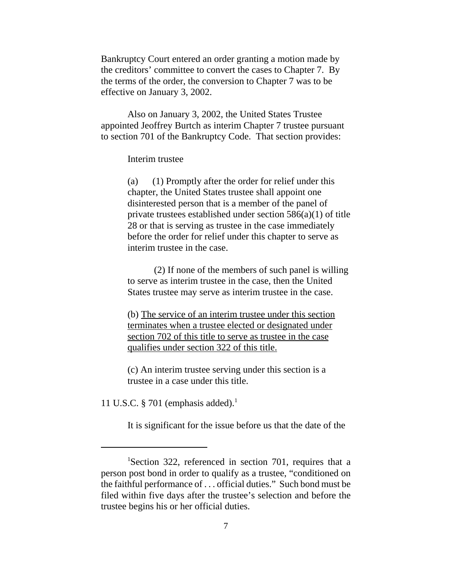Bankruptcy Court entered an order granting a motion made by the creditors' committee to convert the cases to Chapter 7. By the terms of the order, the conversion to Chapter 7 was to be effective on January 3, 2002.

Also on January 3, 2002, the United States Trustee appointed Jeoffrey Burtch as interim Chapter 7 trustee pursuant to section 701 of the Bankruptcy Code. That section provides:

Interim trustee

(a) (1) Promptly after the order for relief under this chapter, the United States trustee shall appoint one disinterested person that is a member of the panel of private trustees established under section 586(a)(1) of title 28 or that is serving as trustee in the case immediately before the order for relief under this chapter to serve as interim trustee in the case.

(2) If none of the members of such panel is willing to serve as interim trustee in the case, then the United States trustee may serve as interim trustee in the case.

(b) The service of an interim trustee under this section terminates when a trustee elected or designated under section 702 of this title to serve as trustee in the case qualifies under section 322 of this title.

(c) An interim trustee serving under this section is a trustee in a case under this title.

11 U.S.C. § 701 (emphasis added). $<sup>1</sup>$ </sup>

It is significant for the issue before us that the date of the

<sup>&</sup>lt;sup>1</sup>Section 322, referenced in section 701, requires that a person post bond in order to qualify as a trustee, "conditioned on the faithful performance of . . . official duties." Such bond must be filed within five days after the trustee's selection and before the trustee begins his or her official duties.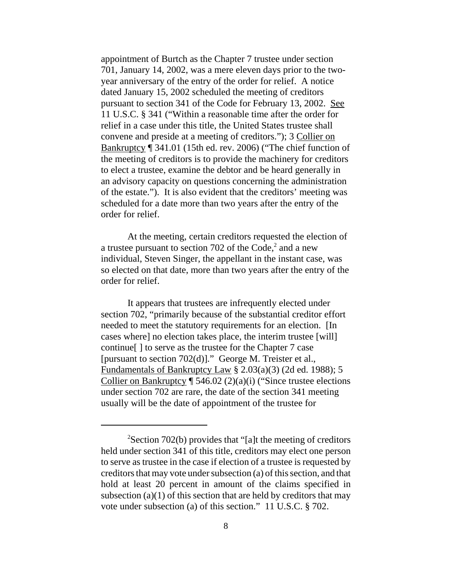appointment of Burtch as the Chapter 7 trustee under section 701, January 14, 2002, was a mere eleven days prior to the twoyear anniversary of the entry of the order for relief. A notice dated January 15, 2002 scheduled the meeting of creditors pursuant to section 341 of the Code for February 13, 2002. See 11 U.S.C. § 341 ("Within a reasonable time after the order for relief in a case under this title, the United States trustee shall convene and preside at a meeting of creditors."); 3 Collier on Bankruptcy ¶ 341.01 (15th ed. rev. 2006) ("The chief function of the meeting of creditors is to provide the machinery for creditors to elect a trustee, examine the debtor and be heard generally in an advisory capacity on questions concerning the administration of the estate."). It is also evident that the creditors' meeting was scheduled for a date more than two years after the entry of the order for relief.

At the meeting, certain creditors requested the election of a trustee pursuant to section 702 of the Code, $2$  and a new individual, Steven Singer, the appellant in the instant case, was so elected on that date, more than two years after the entry of the order for relief.

It appears that trustees are infrequently elected under section 702, "primarily because of the substantial creditor effort needed to meet the statutory requirements for an election. [In cases where] no election takes place, the interim trustee [will] continue[ ] to serve as the trustee for the Chapter 7 case [pursuant to section 702(d)]." George M. Treister et al., Fundamentals of Bankruptcy Law § 2.03(a)(3) (2d ed. 1988); 5 Collier on Bankruptcy  $\P$  546.02 (2)(a)(i) ("Since trustee elections under section 702 are rare, the date of the section 341 meeting usually will be the date of appointment of the trustee for

 $2$ Section 702(b) provides that "[a]t the meeting of creditors held under section 341 of this title, creditors may elect one person to serve as trustee in the case if election of a trustee is requested by creditors that may vote under subsection (a) of this section, and that hold at least 20 percent in amount of the claims specified in subsection  $(a)(1)$  of this section that are held by creditors that may vote under subsection (a) of this section." 11 U.S.C. § 702.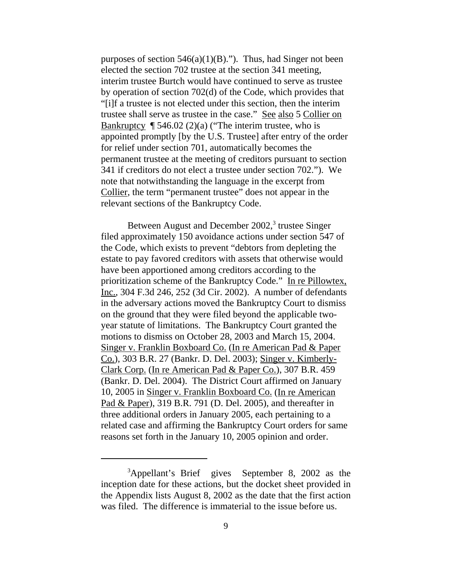purposes of section  $546(a)(1)(B)$ ."). Thus, had Singer not been elected the section 702 trustee at the section 341 meeting, interim trustee Burtch would have continued to serve as trustee by operation of section 702(d) of the Code, which provides that "[i]f a trustee is not elected under this section, then the interim trustee shall serve as trustee in the case." See also 5 Collier on Bankruptcy  $\P$  546.02 (2)(a) ("The interim trustee, who is appointed promptly [by the U.S. Trustee] after entry of the order for relief under section 701, automatically becomes the permanent trustee at the meeting of creditors pursuant to section 341 if creditors do not elect a trustee under section 702."). We note that notwithstanding the language in the excerpt from Collier, the term "permanent trustee" does not appear in the relevant sections of the Bankruptcy Code.

Between August and December 2002,<sup>3</sup> trustee Singer filed approximately 150 avoidance actions under section 547 of the Code, which exists to prevent "debtors from depleting the estate to pay favored creditors with assets that otherwise would have been apportioned among creditors according to the prioritization scheme of the Bankruptcy Code." In re Pillowtex, Inc., 304 F.3d 246, 252 (3d Cir. 2002). A number of defendants in the adversary actions moved the Bankruptcy Court to dismiss on the ground that they were filed beyond the applicable twoyear statute of limitations. The Bankruptcy Court granted the motions to dismiss on October 28, 2003 and March 15, 2004. Singer v. Franklin Boxboard Co. (In re American Pad & Paper Co.), 303 B.R. 27 (Bankr. D. Del. 2003); Singer v. Kimberly-Clark Corp. (In re American Pad & Paper Co.), 307 B.R. 459 (Bankr. D. Del. 2004). The District Court affirmed on January 10, 2005 in Singer v. Franklin Boxboard Co. (In re American Pad & Paper), 319 B.R. 791 (D. Del. 2005), and thereafter in three additional orders in January 2005, each pertaining to a related case and affirming the Bankruptcy Court orders for same reasons set forth in the January 10, 2005 opinion and order.

<sup>&</sup>lt;sup>3</sup>Appellant's Brief gives September 8, 2002 as the inception date for these actions, but the docket sheet provided in the Appendix lists August 8, 2002 as the date that the first action was filed. The difference is immaterial to the issue before us.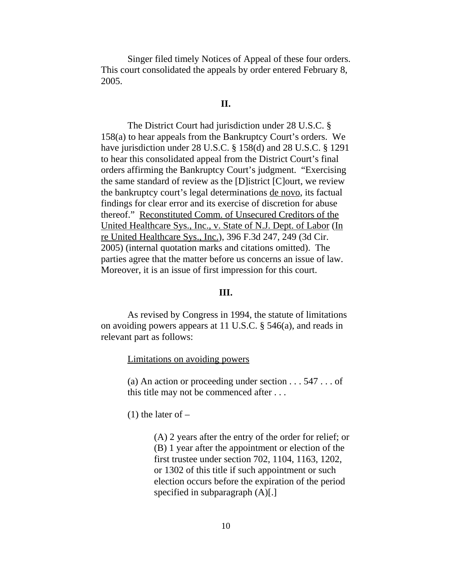Singer filed timely Notices of Appeal of these four orders. This court consolidated the appeals by order entered February 8, 2005.

#### **II.**

The District Court had jurisdiction under 28 U.S.C. § 158(a) to hear appeals from the Bankruptcy Court's orders. We have jurisdiction under 28 U.S.C. § 158(d) and 28 U.S.C. § 1291 to hear this consolidated appeal from the District Court's final orders affirming the Bankruptcy Court's judgment. "Exercising the same standard of review as the [D]istrict [C]ourt, we review the bankruptcy court's legal determinations de novo, its factual findings for clear error and its exercise of discretion for abuse thereof." Reconstituted Comm. of Unsecured Creditors of the United Healthcare Sys., Inc., v. State of N.J. Dept. of Labor (In re United Healthcare Sys., Inc.), 396 F.3d 247, 249 (3d Cir. 2005) (internal quotation marks and citations omitted). The parties agree that the matter before us concerns an issue of law. Moreover, it is an issue of first impression for this court.

### **III.**

As revised by Congress in 1994, the statute of limitations on avoiding powers appears at 11 U.S.C. § 546(a), and reads in relevant part as follows:

Limitations on avoiding powers

(a) An action or proceeding under section . . . 547 . . . of this title may not be commenced after . . .

 $(1)$  the later of  $-$ 

(A) 2 years after the entry of the order for relief; or (B) 1 year after the appointment or election of the first trustee under section 702, 1104, 1163, 1202, or 1302 of this title if such appointment or such election occurs before the expiration of the period specified in subparagraph (A)[.]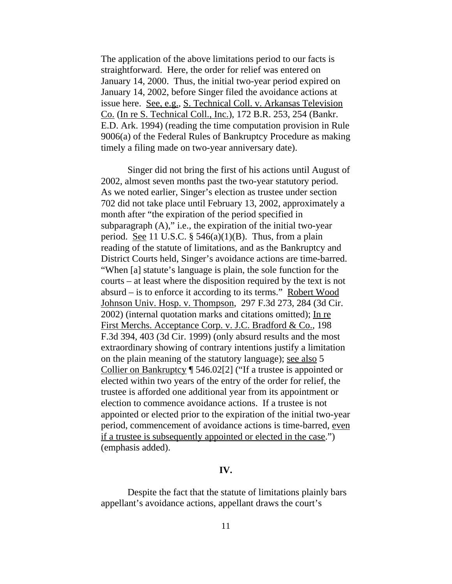The application of the above limitations period to our facts is straightforward. Here, the order for relief was entered on January 14, 2000. Thus, the initial two-year period expired on January 14, 2002, before Singer filed the avoidance actions at issue here. See, e.g., S. Technical Coll. v. Arkansas Television Co. (In re S. Technical Coll., Inc.), 172 B.R. 253, 254 (Bankr. E.D. Ark. 1994) (reading the time computation provision in Rule 9006(a) of the Federal Rules of Bankruptcy Procedure as making timely a filing made on two-year anniversary date).

Singer did not bring the first of his actions until August of 2002, almost seven months past the two-year statutory period. As we noted earlier, Singer's election as trustee under section 702 did not take place until February 13, 2002, approximately a month after "the expiration of the period specified in subparagraph (A)," i.e., the expiration of the initial two-year period. See 11 U.S.C.  $\S$  546(a)(1)(B). Thus, from a plain reading of the statute of limitations, and as the Bankruptcy and District Courts held, Singer's avoidance actions are time-barred. "When [a] statute's language is plain, the sole function for the courts – at least where the disposition required by the text is not absurd – is to enforce it according to its terms." Robert Wood Johnson Univ. Hosp. v. Thompson, 297 F.3d 273, 284 (3d Cir. 2002) (internal quotation marks and citations omitted); In re First Merchs. Acceptance Corp. v. J.C. Bradford & Co., 198 F.3d 394, 403 (3d Cir. 1999) (only absurd results and the most extraordinary showing of contrary intentions justify a limitation on the plain meaning of the statutory language); see also 5 Collier on Bankruptcy ¶ 546.02[2] ("If a trustee is appointed or elected within two years of the entry of the order for relief, the trustee is afforded one additional year from its appointment or election to commence avoidance actions. If a trustee is not appointed or elected prior to the expiration of the initial two-year period, commencement of avoidance actions is time-barred, even if a trustee is subsequently appointed or elected in the case.") (emphasis added).

### **IV.**

Despite the fact that the statute of limitations plainly bars appellant's avoidance actions, appellant draws the court's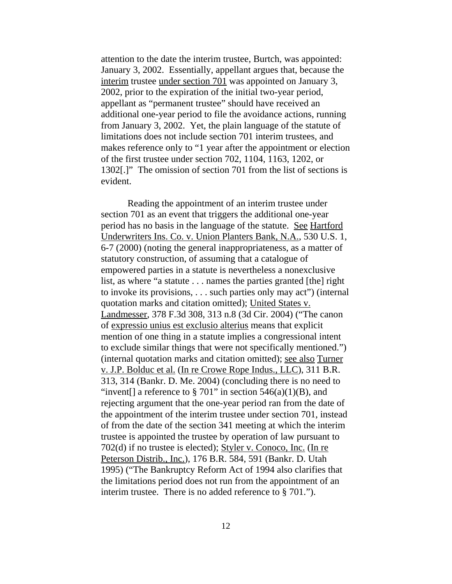attention to the date the interim trustee, Burtch, was appointed: January 3, 2002. Essentially, appellant argues that, because the interim trustee under section 701 was appointed on January 3, 2002, prior to the expiration of the initial two-year period, appellant as "permanent trustee" should have received an additional one-year period to file the avoidance actions, running from January 3, 2002. Yet, the plain language of the statute of limitations does not include section 701 interim trustees, and makes reference only to "1 year after the appointment or election of the first trustee under section 702, 1104, 1163, 1202, or 1302[.]" The omission of section 701 from the list of sections is evident.

Reading the appointment of an interim trustee under section 701 as an event that triggers the additional one-year period has no basis in the language of the statute. See Hartford Underwriters Ins. Co. v. Union Planters Bank, N.A., 530 U.S. 1, 6-7 (2000) (noting the general inappropriateness, as a matter of statutory construction, of assuming that a catalogue of empowered parties in a statute is nevertheless a nonexclusive list, as where "a statute . . . names the parties granted [the] right to invoke its provisions, . . . such parties only may act") (internal quotation marks and citation omitted); United States v. Landmesser, 378 F.3d 308, 313 n.8 (3d Cir. 2004) ("The canon of expressio unius est exclusio alterius means that explicit mention of one thing in a statute implies a congressional intent to exclude similar things that were not specifically mentioned.") (internal quotation marks and citation omitted); see also Turner v. J.P. Bolduc et al. (In re Crowe Rope Indus., LLC), 311 B.R. 313, 314 (Bankr. D. Me. 2004) (concluding there is no need to "invent[] a reference to § 701" in section  $546(a)(1)(B)$ , and rejecting argument that the one-year period ran from the date of the appointment of the interim trustee under section 701, instead of from the date of the section 341 meeting at which the interim trustee is appointed the trustee by operation of law pursuant to 702(d) if no trustee is elected); Styler v. Conoco, Inc. (In re Peterson Distrib., Inc.), 176 B.R. 584, 591 (Bankr. D. Utah 1995) ("The Bankruptcy Reform Act of 1994 also clarifies that the limitations period does not run from the appointment of an interim trustee. There is no added reference to § 701.").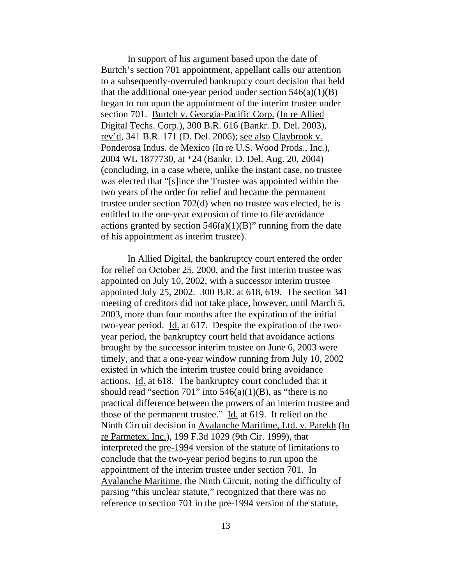In support of his argument based upon the date of Burtch's section 701 appointment, appellant calls our attention to a subsequently-overruled bankruptcy court decision that held that the additional one-year period under section  $546(a)(1)(B)$ began to run upon the appointment of the interim trustee under section 701. Burtch v. Georgia-Pacific Corp. (In re Allied Digital Techs. Corp.), 300 B.R. 616 (Bankr. D. Del. 2003), rev'd, 341 B.R. 171 (D. Del. 2006); see also Claybrook v. Ponderosa Indus. de Mexico (In re U.S. Wood Prods., Inc.), 2004 WL 1877730, at \*24 (Bankr. D. Del. Aug. 20, 2004) (concluding, in a case where, unlike the instant case, no trustee was elected that "[s]ince the Trustee was appointed within the two years of the order for relief and became the permanent trustee under section 702(d) when no trustee was elected, he is entitled to the one-year extension of time to file avoidance actions granted by section  $546(a)(1)(B)$ " running from the date of his appointment as interim trustee).

In Allied Digital, the bankruptcy court entered the order for relief on October 25, 2000, and the first interim trustee was appointed on July 10, 2002, with a successor interim trustee appointed July 25, 2002. 300 B.R. at 618, 619. The section 341 meeting of creditors did not take place, however, until March 5, 2003, more than four months after the expiration of the initial two-year period. Id. at 617. Despite the expiration of the twoyear period, the bankruptcy court held that avoidance actions brought by the successor interim trustee on June 6, 2003 were timely, and that a one-year window running from July 10, 2002 existed in which the interim trustee could bring avoidance actions. Id. at 618. The bankruptcy court concluded that it should read "section 701" into  $546(a)(1)(B)$ , as "there is no practical difference between the powers of an interim trustee and those of the permanent trustee." Id. at 619. It relied on the Ninth Circuit decision in Avalanche Maritime, Ltd. v. Parekh (In re Parmetex, Inc.), 199 F.3d 1029 (9th Cir. 1999), that interpreted the pre-1994 version of the statute of limitations to conclude that the two-year period begins to run upon the appointment of the interim trustee under section 701. In Avalanche Maritime, the Ninth Circuit, noting the difficulty of parsing "this unclear statute," recognized that there was no reference to section 701 in the pre-1994 version of the statute,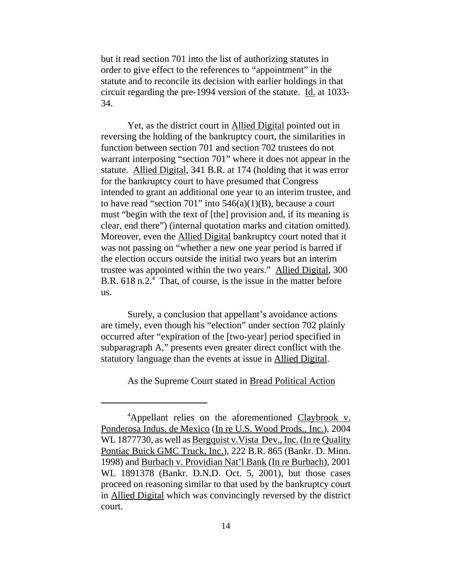but it read section 701 into the list of authorizing statutes in order to give effect to the references to "appointment" in the statute and to reconcile its decision with earlier holdings in that circuit regarding the pre-1994 version of the statute. Id. at 1033- 34.

Yet, as the district court in Allied Digital pointed out in reversing the holding of the bankruptcy court, the similarities in function between section 701 and section 702 trustees do not warrant interposing "section 701" where it does not appear in the statute. Allied Digital, 341 B.R. at 174 (holding that it was error for the bankruptcy court to have presumed that Congress intended to grant an additional one year to an interim trustee, and to have read "section 701" into  $546(a)(1)(B)$ , because a court must "begin with the text of [the] provision and, if its meaning is clear, end there") (internal quotation marks and citation omitted). Moreover, even the Allied Digital bankruptcy court noted that it was not passing on "whether a new one year period is barred if the election occurs outside the initial two years but an interim trustee was appointed within the two years." Allied Digital, 300 B.R. 618 n.2.<sup>4</sup> That, of course, is the issue in the matter before us.

Surely, a conclusion that appellant's avoidance actions are timely, even though his "election" under section 702 plainly occurred after "expiration of the [two-year] period specified in subparagraph A," presents even greater direct conflict with the statutory language than the events at issue in Allied Digital.

As the Supreme Court stated in Bread Political Action

<sup>&</sup>lt;sup>4</sup>Appellant relies on the aforementioned Claybrook v. Ponderosa Indus. de Mexico (In re U.S. Wood Prods., Inc.), 2004 WL 1877730, as well as Bergquist v. Vista Dev., Inc. (In re Quality Pontiac Buick GMC Truck, Inc.), 222 B.R. 865 (Bankr. D. Minn. 1998) and Burbach v. Providian Nat'l Bank (In re Burbach), 2001 WL 1891378 (Bankr. D.N.D. Oct. 5, 2001), but those cases proceed on reasoning similar to that used by the bankruptcy court in Allied Digital which was convincingly reversed by the district court.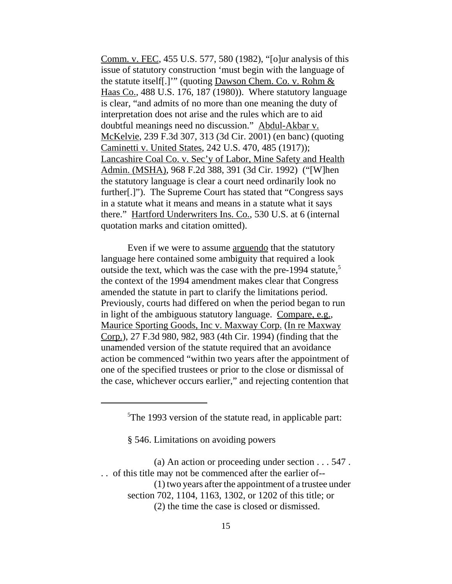Comm. v. FEC, 455 U.S. 577, 580 (1982), "[o]ur analysis of this issue of statutory construction 'must begin with the language of the statute itself[.]'" (quoting Dawson Chem. Co. v. Rohm & Haas Co., 488 U.S. 176, 187 (1980)). Where statutory language is clear, "and admits of no more than one meaning the duty of interpretation does not arise and the rules which are to aid doubtful meanings need no discussion." Abdul-Akbar v. McKelvie, 239 F.3d 307, 313 (3d Cir. 2001) (en banc) (quoting Caminetti v. United States, 242 U.S. 470, 485 (1917)); Lancashire Coal Co. v. Sec'y of Labor, Mine Safety and Health Admin. (MSHA), 968 F.2d 388, 391 (3d Cir. 1992) ("[W]hen the statutory language is clear a court need ordinarily look no further[.]"). The Supreme Court has stated that "Congress says in a statute what it means and means in a statute what it says there." Hartford Underwriters Ins. Co., 530 U.S. at 6 (internal quotation marks and citation omitted).

Even if we were to assume arguendo that the statutory language here contained some ambiguity that required a look outside the text, which was the case with the pre-1994 statute, $5$ the context of the 1994 amendment makes clear that Congress amended the statute in part to clarify the limitations period. Previously, courts had differed on when the period began to run in light of the ambiguous statutory language. Compare, e.g., Maurice Sporting Goods, Inc v. Maxway Corp. (In re Maxway Corp.), 27 F.3d 980, 982, 983 (4th Cir. 1994) (finding that the unamended version of the statute required that an avoidance action be commenced "within two years after the appointment of one of the specified trustees or prior to the close or dismissal of the case, whichever occurs earlier," and rejecting contention that

§ 546. Limitations on avoiding powers

<sup>&</sup>lt;sup>5</sup>The 1993 version of the statute read, in applicable part:

<sup>(</sup>a) An action or proceeding under section . . . 547 . . . of this title may not be commenced after the earlier of--

<sup>(1)</sup> two years after the appointment of a trustee under

section 702, 1104, 1163, 1302, or 1202 of this title; or

<sup>(2)</sup> the time the case is closed or dismissed.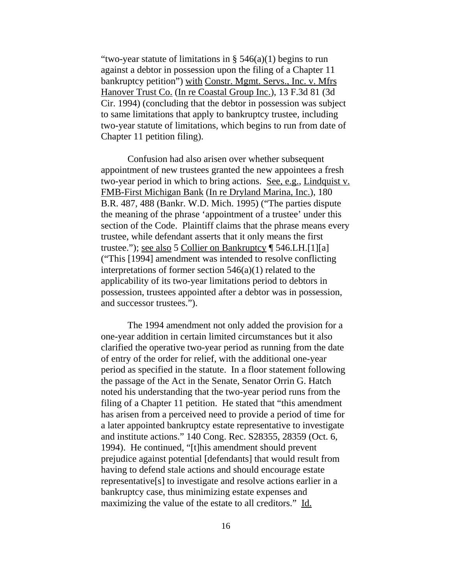"two-year statute of limitations in  $\S$  546(a)(1) begins to run against a debtor in possession upon the filing of a Chapter 11 bankruptcy petition") with Constr. Mgmt. Servs., Inc. v. Mfrs Hanover Trust Co. (In re Coastal Group Inc.), 13 F.3d 81 (3d Cir. 1994) (concluding that the debtor in possession was subject to same limitations that apply to bankruptcy trustee, including two-year statute of limitations, which begins to run from date of Chapter 11 petition filing).

Confusion had also arisen over whether subsequent appointment of new trustees granted the new appointees a fresh two-year period in which to bring actions. See, e.g., Lindquist v. FMB-First Michigan Bank (In re Dryland Marina, Inc.), 180 B.R. 487, 488 (Bankr. W.D. Mich. 1995) ("The parties dispute the meaning of the phrase 'appointment of a trustee' under this section of the Code. Plaintiff claims that the phrase means every trustee, while defendant asserts that it only means the first trustee."); see also 5 Collier on Bankruptcy ¶ 546.LH.[1][a] ("This [1994] amendment was intended to resolve conflicting interpretations of former section 546(a)(1) related to the applicability of its two-year limitations period to debtors in possession, trustees appointed after a debtor was in possession, and successor trustees.").

The 1994 amendment not only added the provision for a one-year addition in certain limited circumstances but it also clarified the operative two-year period as running from the date of entry of the order for relief, with the additional one-year period as specified in the statute. In a floor statement following the passage of the Act in the Senate, Senator Orrin G. Hatch noted his understanding that the two-year period runs from the filing of a Chapter 11 petition. He stated that "this amendment has arisen from a perceived need to provide a period of time for a later appointed bankruptcy estate representative to investigate and institute actions." 140 Cong. Rec. S28355, 28359 (Oct. 6, 1994). He continued, "[t]his amendment should prevent prejudice against potential [defendants] that would result from having to defend stale actions and should encourage estate representative[s] to investigate and resolve actions earlier in a bankruptcy case, thus minimizing estate expenses and maximizing the value of the estate to all creditors." Id.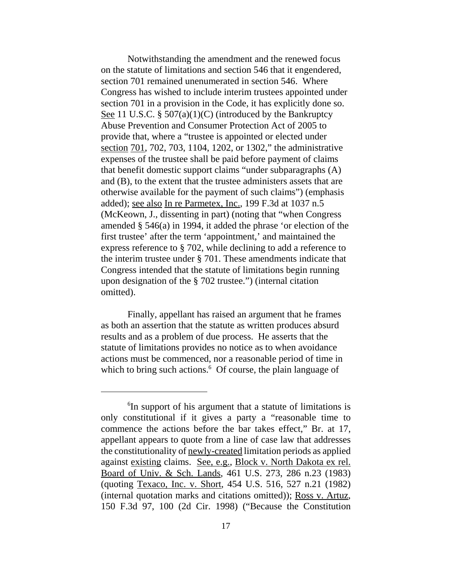Notwithstanding the amendment and the renewed focus on the statute of limitations and section 546 that it engendered, section 701 remained unenumerated in section 546. Where Congress has wished to include interim trustees appointed under section 701 in a provision in the Code, it has explicitly done so. See 11 U.S.C. § 507(a)(1)(C) (introduced by the Bankruptcy Abuse Prevention and Consumer Protection Act of 2005 to provide that, where a "trustee is appointed or elected under section 701, 702, 703, 1104, 1202, or 1302," the administrative expenses of the trustee shall be paid before payment of claims that benefit domestic support claims "under subparagraphs (A) and (B), to the extent that the trustee administers assets that are otherwise available for the payment of such claims") (emphasis added); see also In re Parmetex, Inc., 199 F.3d at 1037 n.5 (McKeown, J., dissenting in part) (noting that "when Congress amended § 546(a) in 1994, it added the phrase 'or election of the first trustee' after the term 'appointment,' and maintained the express reference to § 702, while declining to add a reference to the interim trustee under § 701. These amendments indicate that Congress intended that the statute of limitations begin running upon designation of the § 702 trustee.") (internal citation omitted).

Finally, appellant has raised an argument that he frames as both an assertion that the statute as written produces absurd results and as a problem of due process. He asserts that the statute of limitations provides no notice as to when avoidance actions must be commenced, nor a reasonable period of time in which to bring such actions.<sup>6</sup> Of course, the plain language of

<sup>&</sup>lt;sup>6</sup>In support of his argument that a statute of limitations is only constitutional if it gives a party a "reasonable time to commence the actions before the bar takes effect," Br. at 17, appellant appears to quote from a line of case law that addresses the constitutionality of newly-created limitation periods as applied against existing claims. See, e.g., Block v. North Dakota ex rel. Board of Univ. & Sch. Lands, 461 U.S. 273, 286 n.23 (1983) (quoting Texaco, Inc. v. Short, 454 U.S. 516, 527 n.21 (1982) (internal quotation marks and citations omitted)); Ross v. Artuz, 150 F.3d 97, 100 (2d Cir. 1998) ("Because the Constitution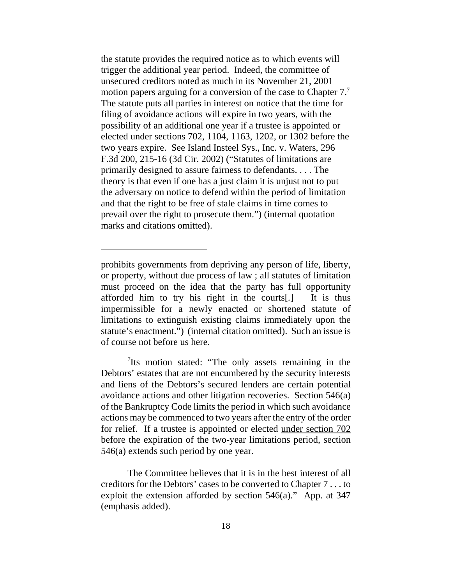the statute provides the required notice as to which events will trigger the additional year period. Indeed, the committee of unsecured creditors noted as much in its November 21, 2001 motion papers arguing for a conversion of the case to Chapter 7.<sup>7</sup> The statute puts all parties in interest on notice that the time for filing of avoidance actions will expire in two years, with the possibility of an additional one year if a trustee is appointed or elected under sections 702, 1104, 1163, 1202, or 1302 before the two years expire. See Island Insteel Sys., Inc. v. Waters, 296 F.3d 200, 215-16 (3d Cir. 2002) ("Statutes of limitations are primarily designed to assure fairness to defendants. . . . The theory is that even if one has a just claim it is unjust not to put the adversary on notice to defend within the period of limitation and that the right to be free of stale claims in time comes to prevail over the right to prosecute them.") (internal quotation marks and citations omitted).

<sup>7</sup>Its motion stated: "The only assets remaining in the Debtors' estates that are not encumbered by the security interests and liens of the Debtors's secured lenders are certain potential avoidance actions and other litigation recoveries. Section 546(a) of the Bankruptcy Code limits the period in which such avoidance actions may be commenced to two years after the entry of the order for relief. If a trustee is appointed or elected under section 702 before the expiration of the two-year limitations period, section 546(a) extends such period by one year.

The Committee believes that it is in the best interest of all creditors for the Debtors' cases to be converted to Chapter 7 . . . to exploit the extension afforded by section 546(a)." App. at 347 (emphasis added).

prohibits governments from depriving any person of life, liberty, or property, without due process of law ; all statutes of limitation must proceed on the idea that the party has full opportunity afforded him to try his right in the courts[.] It is thus impermissible for a newly enacted or shortened statute of limitations to extinguish existing claims immediately upon the statute's enactment.") (internal citation omitted). Such an issue is of course not before us here.